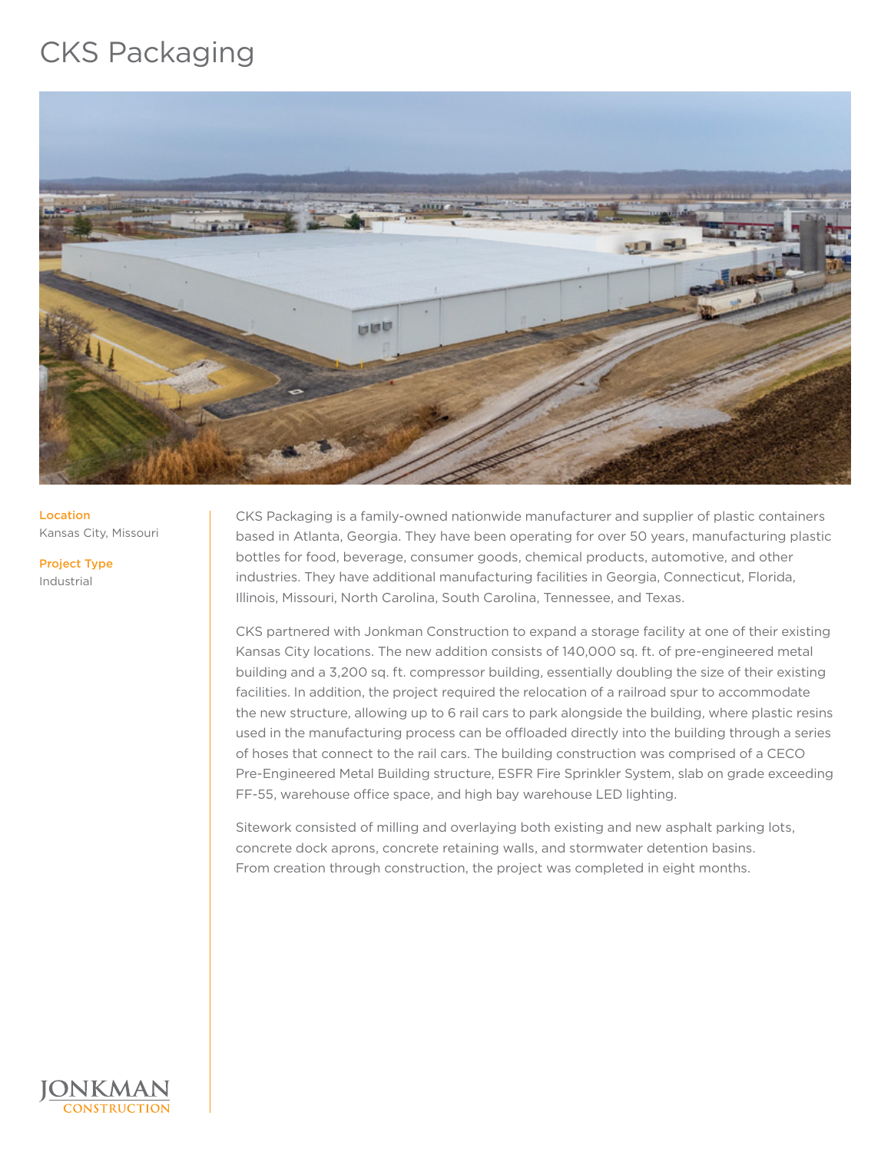## CKS Packaging



## Location Kansas City, Missouri

Project Type Industrial

CKS Packaging is a family-owned nationwide manufacturer and supplier of plastic containers based in Atlanta, Georgia. They have been operating for over 50 years, manufacturing plastic bottles for food, beverage, consumer goods, chemical products, automotive, and other industries. They have additional manufacturing facilities in Georgia, Connecticut, Florida, Illinois, Missouri, North Carolina, South Carolina, Tennessee, and Texas.

CKS partnered with Jonkman Construction to expand a storage facility at one of their existing Kansas City locations. The new addition consists of 140,000 sq. ft. of pre-engineered metal building and a 3,200 sq. ft. compressor building, essentially doubling the size of their existing facilities. In addition, the project required the relocation of a railroad spur to accommodate the new structure, allowing up to 6 rail cars to park alongside the building, where plastic resins used in the manufacturing process can be offloaded directly into the building through a series of hoses that connect to the rail cars. The building construction was comprised of a CECO Pre-Engineered Metal Building structure, ESFR Fire Sprinkler System, slab on grade exceeding FF-55, warehouse office space, and high bay warehouse LED lighting.

Sitework consisted of milling and overlaying both existing and new asphalt parking lots, concrete dock aprons, concrete retaining walls, and stormwater detention basins. From creation through construction, the project was completed in eight months.